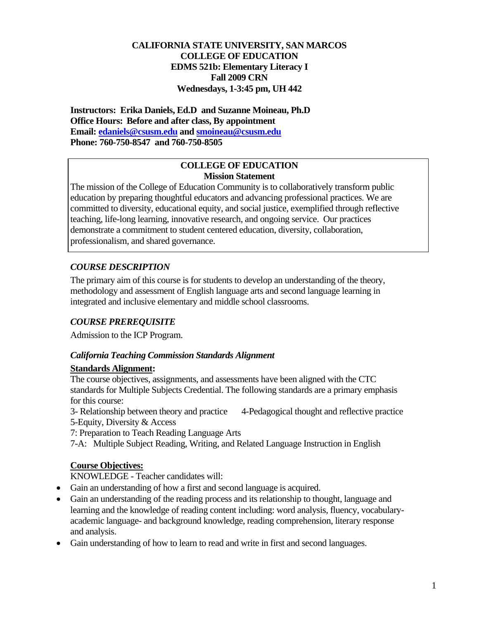### **CALIFORNIA STATE UNIVERSITY, SAN MARCOS COLLEGE OF EDUCATION EDMS 521b: Elementary Literacy I Fall 2009 CRN Wednesdays, 1-3:45 pm, UH 442**

 **Email: edaniels@csusm.edu and smoineau@csusm.edu Phone: 760-750-8547 and 760-750-8505 Instructors: Erika Daniels, Ed.D and Suzanne Moineau, Ph.D Office Hours: Before and after class, By appointment** 

#### **COLLEGE OF EDUCATION Mission Statement**

The mission of the College of Education Community is to collaboratively transform public education by preparing thoughtful educators and advancing professional practices. We are committed to diversity, educational equity, and social justice, exemplified through reflective teaching, life-long learning, innovative research, and ongoing service. Our practices demonstrate a commitment to student centered education, diversity, collaboration, professionalism, and shared governance.

# *COURSE DESCRIPTION*

The primary aim of this course is for students to develop an understanding of the theory, methodology and assessment of English language arts and second language learning in integrated and inclusive elementary and middle school classrooms.

## *COURSE PREREQUISITE*

Admission to the ICP Program.

## *California Teaching Commission Standards Alignment*

### **Standards Alignment:**

The course objectives, assignments, and assessments have been aligned with the CTC standards for Multiple Subjects Credential. The following standards are a primary emphasis for this course:

5-Equity, Diversity & Access 3- Relationship between theory and practice 4-Pedagogical thought and reflective practice

7: Preparation to Teach Reading Language Arts

7-A: Multiple Subject Reading, Writing, and Related Language Instruction in English

## **Course Objectives:**

KNOWLEDGE - Teacher candidates will:

- Gain an understanding of how a first and second language is acquired.
- and analysis. • Gain an understanding of the reading process and its relationship to thought, language and learning and the knowledge of reading content including: word analysis, fluency, vocabularyacademic language- and background knowledge, reading comprehension, literary response
- Gain understanding of how to learn to read and write in first and second languages.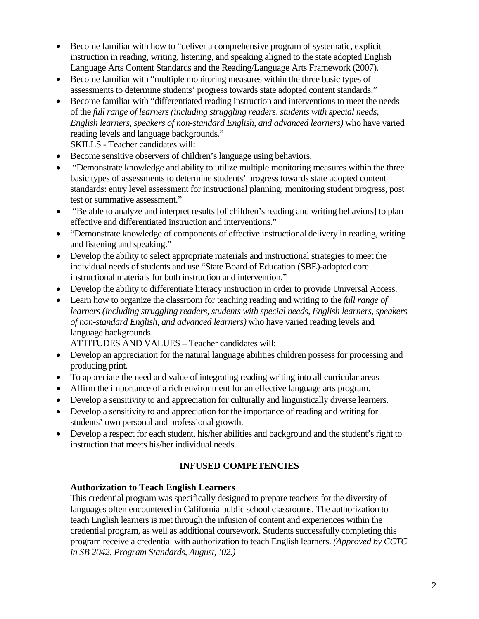- Become familiar with how to "deliver a comprehensive program of systematic, explicit instruction in reading, writing, listening, and speaking aligned to the state adopted English Language Arts Content Standards and the Reading/Language Arts Framework (2007).
- Become familiar with "multiple monitoring measures within the three basic types of assessments to determine students' progress towards state adopted content standards."
- Become familiar with "differentiated reading instruction and interventions to meet the needs of the *full range of learners (including struggling readers, students with special needs, English learners, speakers of non-standard English, and advanced learners)* who have varied reading levels and language backgrounds." SKILLS - Teacher candidates will:
- Become sensitive observers of children's language using behaviors.
- "Demonstrate knowledge and ability to utilize multiple monitoring measures within the three basic types of assessments to determine students' progress towards state adopted content standards: entry level assessment for instructional planning, monitoring student progress, post test or summative assessment."
- "Be able to analyze and interpret results [of children's reading and writing behaviors] to plan effective and differentiated instruction and interventions."
- "Demonstrate knowledge of components of effective instructional delivery in reading, writing and listening and speaking."
- Develop the ability to select appropriate materials and instructional strategies to meet the individual needs of students and use "State Board of Education (SBE)-adopted core instructional materials for both instruction and intervention."
- Develop the ability to differentiate literacy instruction in order to provide Universal Access.
- Learn how to organize the classroom for teaching reading and writing to the *full range of learners (including struggling readers, students with special needs, English learners, speakers of non-standard English, and advanced learners)* who have varied reading levels and language backgrounds

ATTITUDES AND VALUES – Teacher candidates will:

- Develop an appreciation for the natural language abilities children possess for processing and producing print.
- To appreciate the need and value of integrating reading writing into all curricular areas
- Affirm the importance of a rich environment for an effective language arts program.
- Develop a sensitivity to and appreciation for culturally and linguistically diverse learners.
- Develop a sensitivity to and appreciation for the importance of reading and writing for students' own personal and professional growth.
- Develop a respect for each student, his/her abilities and background and the student's right to instruction that meets his/her individual needs.

### **INFUSED COMPETENCIES**

#### **Authorization to Teach English Learners**

This credential program was specifically designed to prepare teachers for the diversity of languages often encountered in California public school classrooms. The authorization to teach English learners is met through the infusion of content and experiences within the credential program, as well as additional coursework. Students successfully completing this program receive a credential with authorization to teach English learners. *(Approved by CCTC in SB 2042, Program Standards, August, '02.)*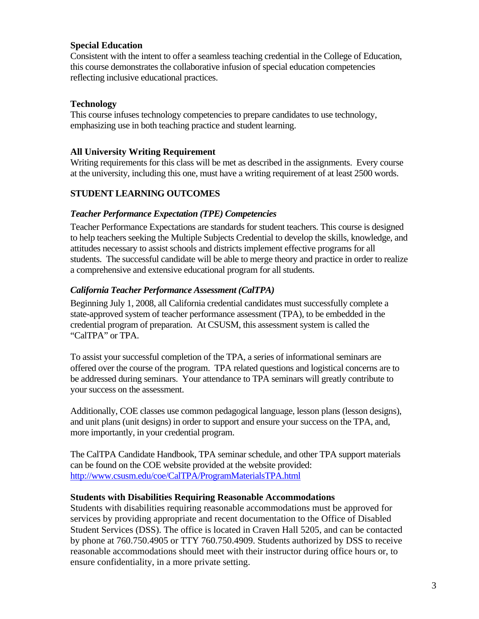### **Special Education**

Consistent with the intent to offer a seamless teaching credential in the College of Education, this course demonstrates the collaborative infusion of special education competencies reflecting inclusive educational practices.

### **Technology**

This course infuses technology competencies to prepare candidates to use technology, emphasizing use in both teaching practice and student learning.

### **All University Writing Requirement**

Writing requirements for this class will be met as described in the assignments. Every course at the university, including this one, must have a writing requirement of at least 2500 words.

### **STUDENT LEARNING OUTCOMES**

#### *Teacher Performance Expectation (TPE) Competencies*

Teacher Performance Expectations are standards for student teachers. This course is designed to help teachers seeking the Multiple Subjects Credential to develop the skills, knowledge, and attitudes necessary to assist schools and districts implement effective programs for all students. The successful candidate will be able to merge theory and practice in order to realize a comprehensive and extensive educational program for all students.

#### *California Teacher Performance Assessment (CalTPA)*

Beginning July 1, 2008, all California credential candidates must successfully complete a state-approved system of teacher performance assessment (TPA), to be embedded in the credential program of preparation. At CSUSM, this assessment system is called the "CalTPA" or TPA.

To assist your successful completion of the TPA, a series of informational seminars are offered over the course of the program. TPA related questions and logistical concerns are to be addressed during seminars. Your attendance to TPA seminars will greatly contribute to your success on the assessment.

Additionally, COE classes use common pedagogical language, lesson plans (lesson designs), and unit plans (unit designs) in order to support and ensure your success on the TPA, and, more importantly, in your credential program.

The CalTPA Candidate Handbook, TPA seminar schedule, and other TPA support materials can be found on the COE website provided at the website provided: http://www.csusm.edu/coe/CalTPA/ProgramMaterialsTPA.html

#### **Students with Disabilities Requiring Reasonable Accommodations**

Students with disabilities requiring reasonable accommodations must be approved for services by providing appropriate and recent documentation to the Office of Disabled Student Services (DSS). The office is located in Craven Hall 5205, and can be contacted by phone at 760.750.4905 or TTY 760.750.4909. Students authorized by DSS to receive reasonable accommodations should meet with their instructor during office hours or, to ensure confidentiality, in a more private setting.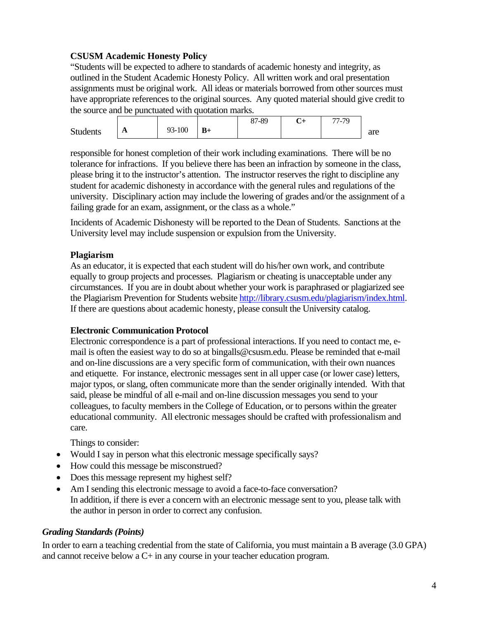## **CSUSM Academic Honesty Policy**

"Students will be expected to adhere to standards of academic honesty and integrity, as outlined in the Student Academic Honesty Policy. All written work and oral presentation assignments must be original work. All ideas or materials borrowed from other sources must have appropriate references to the original sources. Any quoted material should give credit to the source and be punctuated with quotation marks.

|                 |              |        |      | 87-89 | · +<br>◡ | 77-79<br>$\prime$ - |     |
|-----------------|--------------|--------|------|-------|----------|---------------------|-----|
| <b>Students</b> | $\mathbf{L}$ | 93-100 | $B+$ |       |          |                     | are |

responsible for honest completion of their work including examinations. There will be no tolerance for infractions. If you believe there has been an infraction by someone in the class, please bring it to the instructor's attention. The instructor reserves the right to discipline any student for academic dishonesty in accordance with the general rules and regulations of the university. Disciplinary action may include the lowering of grades and/or the assignment of a failing grade for an exam, assignment, or the class as a whole."

Incidents of Academic Dishonesty will be reported to the Dean of Students. Sanctions at the University level may include suspension or expulsion from the University.

### **Plagiarism**

As an educator, it is expected that each student will do his/her own work, and contribute equally to group projects and processes. Plagiarism or cheating is unacceptable under any circumstances. If you are in doubt about whether your work is paraphrased or plagiarized see the Plagiarism Prevention for Students website http://library.csusm.edu/plagiarism/index.html. If there are questions about academic honesty, please consult the University catalog.

### **Electronic Communication Protocol**

Electronic correspondence is a part of professional interactions. If you need to contact me, email is often the easiest way to do so at bingalls@csusm.edu. Please be reminded that e-mail and on-line discussions are a very specific form of communication, with their own nuances and etiquette. For instance, electronic messages sent in all upper case (or lower case) letters, major typos, or slang, often communicate more than the sender originally intended. With that said, please be mindful of all e-mail and on-line discussion messages you send to your colleagues, to faculty members in the College of Education, or to persons within the greater educational community. All electronic messages should be crafted with professionalism and care.

Things to consider:

- Would I say in person what this electronic message specifically says?
- How could this message be misconstrued?
- Does this message represent my highest self?
- Am I sending this electronic message to avoid a face-to-face conversation? In addition, if there is ever a concern with an electronic message sent to you, please talk with the author in person in order to correct any confusion.

### *ding Standards (Points) Gra*

In order to earn a teaching credential from the state of California, you must maintain a B average (3.0 GPA) and cannot receive below a  $C+$  in any course in your teacher education program.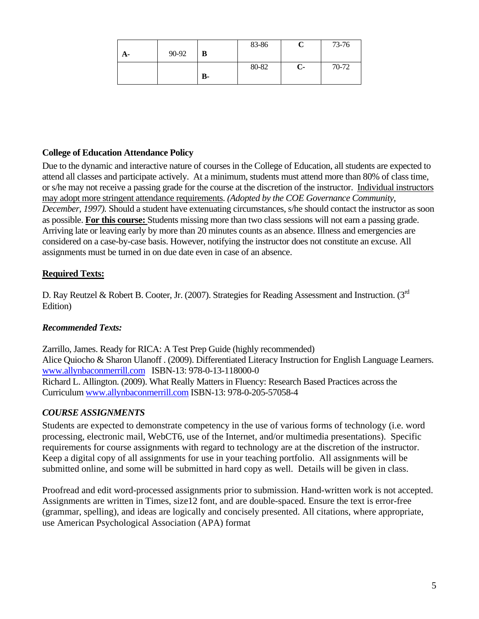|    |       |                | 83-86 |              | 73-76 |
|----|-------|----------------|-------|--------------|-------|
| А- | 90-92 | B              |       |              |       |
|    |       |                | 80-82 | $\mathbf{C}$ | 70-72 |
|    |       | $\mathbf{B}$ - |       |              |       |

## **College of Education Attendance Policy**

Due to the dynamic and interactive nature of courses in the College of Education, all students are expected to attend all classes and participate actively. At a minimum, students must attend more than 80% of class time, or s/he may not receive a passing grade for the course at the discretion of the instructor. Individual instructors may adopt more stringent attendance requirements. *(Adopted by the COE Governance Community, December, 1997).* Should a student have extenuating circumstances, s/he should contact the instructor as soon as possible. **For this course:** Students missing more than two class sessions will not earn a passing grade. Arriving late or leaving early by more than 20 minutes counts as an absence. Illness and emergencies are considered on a case-by-case basis. However, notifying the instructor does not constitute an excuse. All assignments must be turned in on due date even in case of an absence.

## **Required Texts:**

D. Ray Reutzel & Robert B. Cooter, Jr. (2007). Strategies for Reading Assessment and Instruction. (3<sup>rd</sup> Edition)

### *Recommended Texts:*

Zarrillo, James. Ready for RICA: A Test Prep Guide (highly recommended) Alice Quiocho & Sharon Ulanoff . (2009). Differentiated Literacy Instruction for English Language Learners. www.allynbaconmerrill.com ISBN-13: 978-0-13-118000-0 Richard L. Allington. (2009). What Really Matters in Fluency: Research Based Practices across the Curriculum www.allynbaconmerrill.com ISBN-13: 978-0-205-57058-4

### *COURSE ASSIGNMENTS*

Students are expected to demonstrate competency in the use of various forms of technology (i.e. word processing, electronic mail, WebCT6, use of the Internet, and/or multimedia presentations). Specific requirements for course assignments with regard to technology are at the discretion of the instructor. Keep a digital copy of all assignments for use in your teaching portfolio. All assignments will be submitted online, and some will be submitted in hard copy as well. Details will be given in class.

Proofread and edit word-processed assignments prior to submission. Hand-written work is not accepted. Assignments are written in Times, size12 font, and are double-spaced. Ensure the text is error-free (grammar, spelling), and ideas are logically and concisely presented. All citations, where appropriate, use American Psychological Association (APA) format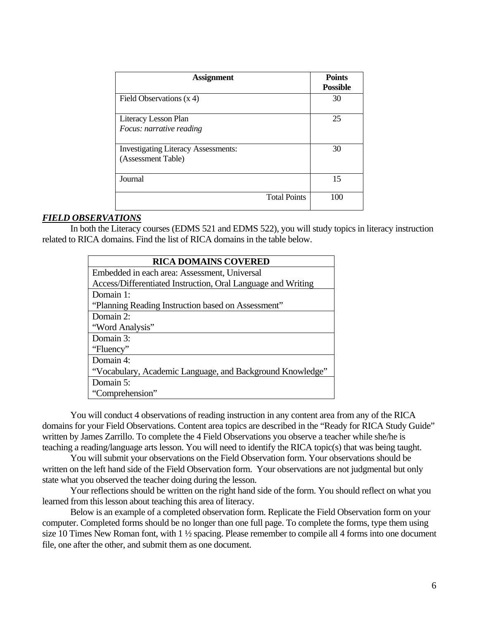| <b>Assignment</b>                          | <b>Points</b><br><b>Possible</b> |
|--------------------------------------------|----------------------------------|
| Field Observations $(x 4)$                 | 30                               |
| Literacy Lesson Plan                       | 25                               |
| Focus: narrative reading                   |                                  |
| <b>Investigating Literacy Assessments:</b> | 30                               |
| (Assessment Table)                         |                                  |
| Journal                                    | 15                               |
| <b>Total Points</b>                        | 100                              |

#### *FIELD OBSERVATIONS*

In both the Literacy courses (EDMS 521 and EDMS 522), you will study topics in literacy instruction related to RICA domains. Find the list of RICA domains in the table below.

| <b>RICA DOMAINS COVERED</b>                                  |
|--------------------------------------------------------------|
| Embedded in each area: Assessment, Universal                 |
| Access/Differentiated Instruction, Oral Language and Writing |
| Domain 1:                                                    |
| "Planning Reading Instruction based on Assessment"           |
| Domain 2:                                                    |
| "Word Analysis"                                              |
| Domain 3:                                                    |
| "Fluency"                                                    |
| Domain 4:                                                    |
| "Vocabulary, Academic Language, and Background Knowledge"    |
| Domain 5:                                                    |
| "Comprehension"                                              |

You will conduct 4 observations of reading instruction in any content area from any of the RICA domains for your Field Observations. Content area topics are described in the "Ready for RICA Study Guide" written by James Zarrillo. To complete the 4 Field Observations you observe a teacher while she/he is teaching a reading/language arts lesson. You will need to identify the RICA topic(s) that was being taught.

 state what you observed the teacher doing during the lesson. You will submit your observations on the Field Observation form. Your observations should be written on the left hand side of the Field Observation form. Your observations are not judgmental but only

Your reflections should be written on the right hand side of the form. You should reflect on what you learned from this lesson about teaching this area of literacy.

Below is an example of a completed observation form. Replicate the Field Observation form on your computer. Completed forms should be no longer than one full page. To complete the forms, type them using size 10 Times New Roman font, with 1 ½ spacing. Please remember to compile all 4 forms into one document file, one after the other, and submit them as one document.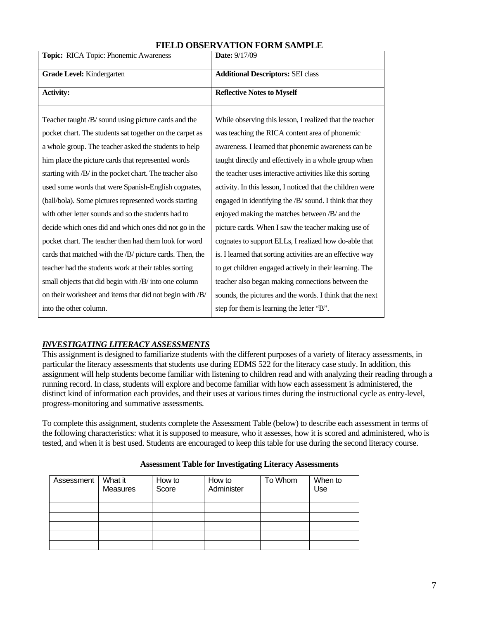| Topic: RICA Topic: Phonemic Awareness                    | Date: 9/17/09                                              |  |
|----------------------------------------------------------|------------------------------------------------------------|--|
| Grade Level: Kindergarten                                | <b>Additional Descriptors: SEI class</b>                   |  |
| <b>Activity:</b>                                         | <b>Reflective Notes to Myself</b>                          |  |
| Teacher taught /B/ sound using picture cards and the     | While observing this lesson, I realized that the teacher   |  |
| pocket chart. The students sat together on the carpet as | was teaching the RICA content area of phonemic             |  |
| a whole group. The teacher asked the students to help    | awareness. I learned that phonemic awareness can be        |  |
| him place the picture cards that represented words       | taught directly and effectively in a whole group when      |  |
| starting with /B/ in the pocket chart. The teacher also  | the teacher uses interactive activities like this sorting  |  |
| used some words that were Spanish-English cognates,      | activity. In this lesson, I noticed that the children were |  |
| (ball/bola). Some pictures represented words starting    | engaged in identifying the /B/ sound. I think that they    |  |
| with other letter sounds and so the students had to      | enjoyed making the matches between /B/ and the             |  |
| decide which ones did and which ones did not go in the   | picture cards. When I saw the teacher making use of        |  |
| pocket chart. The teacher then had them look for word    | cognates to support ELLs, I realized how do-able that      |  |
| cards that matched with the /B/ picture cards. Then, the | is. I learned that sorting activities are an effective way |  |
| teacher had the students work at their tables sorting    | to get children engaged actively in their learning. The    |  |
| small objects that did begin with /B/ into one column    | teacher also began making connections between the          |  |
| on their worksheet and items that did not begin with /B/ | sounds, the pictures and the words. I think that the next  |  |
| into the other column.                                   | step for them is learning the letter "B".                  |  |

## **FIELD OBSERVATION FORM SAMPLE**

#### *INVESTIGATING LITERACY ASSESSMENTS*

This assignment is designed to familiarize students with the different purposes of a variety of literacy assessments, in particular the literacy assessments that students use during EDMS 522 for the literacy case study. In addition, this assignment will help students become familiar with listening to children read and with analyzing their reading through a running record. In class, students will explore and become familiar with how each assessment is administered, the distinct kind of information each provides, and their uses at various times during the instructional cycle as entry-level, progress-monitoring and summative assessments.

To complete this assignment, students complete the Assessment Table (below) to describe each assessment in terms of the following characteristics: what it is supposed to measure, who it assesses, how it is scored and administered, who is tested, and when it is best used. Students are encouraged to keep this table for use during the second literacy course.

| Assessment | What it<br><b>Measures</b> | How to<br>Score | How to<br>Administer | To Whom | When to<br>Use |
|------------|----------------------------|-----------------|----------------------|---------|----------------|
|            |                            |                 |                      |         |                |
|            |                            |                 |                      |         |                |
|            |                            |                 |                      |         |                |
|            |                            |                 |                      |         |                |
|            |                            |                 |                      |         |                |

#### **Assessment Table for Investigating Literacy Assessments**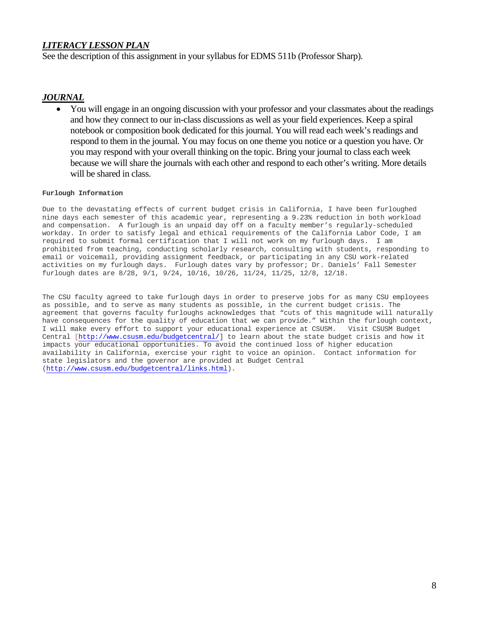### *LITERACY LESSON PLAN*

See the description of this assignment in your syllabus for EDMS 511b (Professor Sharp).

#### *JOURNAL*

• You will engage in an ongoing discussion with your professor and your classmates about the readings and how they connect to our in-class discussions as well as your field experiences. Keep a spiral notebook or composition book dedicated for this journal. You will read each week's readings and respond to them in the journal. You may focus on one theme you notice or a question you have. Or you may respond with your overall thinking on the topic. Bring your journal to class each week because we will share the journals with each other and respond to each other's writing. More details will be shared in class.

#### **Furlough Information**

 activities on my furlough days. Furlough dates vary by professor; Dr. Daniels' Fall Semester Due to the devastating effects of current budget crisis in California, I have been furloughed nine days each semester of this academic year, representing a 9.23% reduction in both workload and compensation. A furlough is an unpaid day off on a faculty member's regularly-scheduled workday. In order to satisfy legal and ethical requirements of the California Labor Code, I am required to submit formal certification that I will not work on my furlough days. I am prohibited from teaching, conducting scholarly research, consulting with students, responding to email or voicemail, providing assignment feedback, or participating in any CSU work-related furlough dates are 8/28, 9/1, 9/24, 10/16, 10/26, 11/24, 11/25, 12/8, 12/18.

The CSU faculty agreed to take furlough days in order to preserve jobs for as many CSU employees as possible, and to serve as many students as possible, in the current budget crisis. The agreement that governs faculty furloughs acknowledges that "cuts of this magnitude will naturally have consequences for the quality of education that we can provide." Within the furlough context, I will make every effort to support your educational experience at CSUSM. Visit CSUSM Budget Central [http://www.csusm.edu/budgetcentral/] to learn about the state budget crisis and how it impacts your educational opportunities. To avoid the continued loss of higher education availability in California, exercise your right to voice an opinion. Contact information for state legislators and the governor are provided at Budget Central (http://www.csusm.edu/budgetcentral/links.html).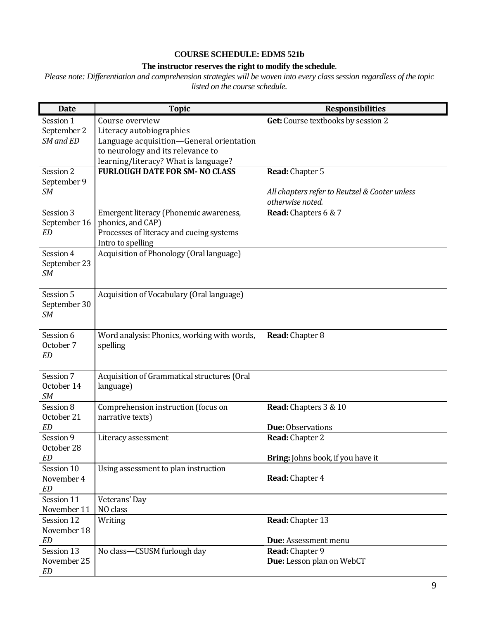#### **COURSE SCHEDULE: EDMS 521b**

## **The instructor reserves the right to modify the schedule**.

*Please note: Differentiation and comprehension strategies will be woven into every class session regardless of the topic listed on the course schedule.* 

| <b>Date</b>               | <b>Topic</b>                                | <b>Responsibilities</b>                       |
|---------------------------|---------------------------------------------|-----------------------------------------------|
| Session 1                 | Course overview                             | Get: Course textbooks by session 2            |
| September 2               | Literacy autobiographies                    |                                               |
| SM and ED                 | Language acquisition-General orientation    |                                               |
|                           | to neurology and its relevance to           |                                               |
|                           | learning/literacy? What is language?        |                                               |
| Session 2                 | <b>FURLOUGH DATE FOR SM- NO CLASS</b>       | Read: Chapter 5                               |
| September 9               |                                             |                                               |
| SM                        |                                             | All chapters refer to Reutzel & Cooter unless |
|                           |                                             | otherwise noted.                              |
| Session 3                 | Emergent literacy (Phonemic awareness,      | Read: Chapters 6 & 7                          |
| September 16              | phonics, and CAP)                           |                                               |
| <b>ED</b>                 | Processes of literacy and cueing systems    |                                               |
|                           | Intro to spelling                           |                                               |
| Session 4                 | Acquisition of Phonology (Oral language)    |                                               |
| September 23<br><b>SM</b> |                                             |                                               |
|                           |                                             |                                               |
| Session 5                 | Acquisition of Vocabulary (Oral language)   |                                               |
| September 30              |                                             |                                               |
| SM                        |                                             |                                               |
|                           |                                             |                                               |
| Session 6                 | Word analysis: Phonics, working with words, | Read: Chapter 8                               |
| October 7                 | spelling                                    |                                               |
| <b>ED</b>                 |                                             |                                               |
|                           |                                             |                                               |
| Session 7                 | Acquisition of Grammatical structures (Oral |                                               |
| October 14                | language)                                   |                                               |
| <b>SM</b><br>Session 8    | Comprehension instruction (focus on         | Read: Chapters 3 & 10                         |
| October 21                | narrative texts)                            |                                               |
| <b>ED</b>                 |                                             | Due: Observations                             |
| Session 9                 | Literacy assessment                         | Read: Chapter 2                               |
| October 28                |                                             |                                               |
| ED                        |                                             | Bring: Johns book, if you have it             |
| Session 10                | Using assessment to plan instruction        |                                               |
| November 4                |                                             | Read: Chapter 4                               |
| <b>ED</b>                 |                                             |                                               |
| Session 11                | Veterans' Day                               |                                               |
| November 11               | NO class                                    |                                               |
| Session 12                | Writing                                     | Read: Chapter 13                              |
| November 18               |                                             |                                               |
| <b>ED</b>                 |                                             | Due: Assessment menu                          |
| Session 13                | No class-CSUSM furlough day                 | Read: Chapter 9                               |
| November 25               |                                             | Due: Lesson plan on WebCT                     |
| <b>ED</b>                 |                                             |                                               |